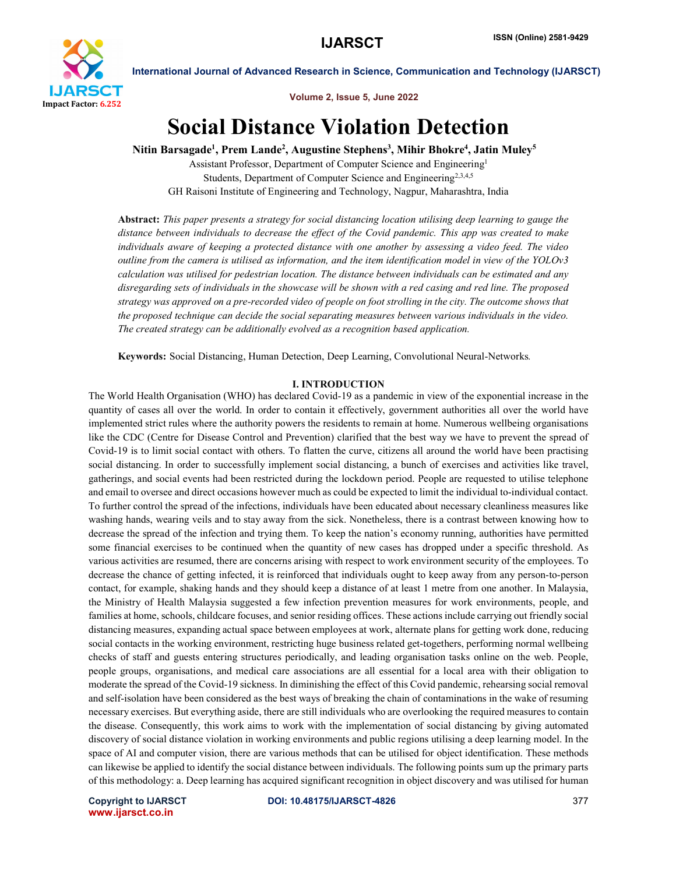

Volume 2, Issue 5, June 2022

# Social Distance Violation Detection

Nitin Barsagade<sup>1</sup>, Prem Lande<sup>2</sup>, Augustine Stephens<sup>3</sup>, Mihir Bhokre<sup>4</sup>, Jatin Muley<sup>5</sup>

Assistant Professor, Department of Computer Science and Engineering1 Students, Department of Computer Science and Engineering<sup>2,3,4,5</sup> GH Raisoni Institute of Engineering and Technology, Nagpur, Maharashtra, India

Abstract: *This paper presents a strategy for social distancing location utilising deep learning to gauge the distance between individuals to decrease the effect of the Covid pandemic. This app was created to make individuals aware of keeping a protected distance with one another by assessing a video feed. The video outline from the camera is utilised as information, and the item identification model in view of the YOLOv3 calculation was utilised for pedestrian location. The distance between individuals can be estimated and any disregarding sets of individuals in the showcase will be shown with a red casing and red line. The proposed strategy was approved on a pre-recorded video of people on foot strolling in the city. The outcome shows that the proposed technique can decide the social separating measures between various individuals in the video. The created strategy can be additionally evolved as a recognition based application.* 

Keywords: Social Distancing, Human Detection, Deep Learning, Convolutional Neural-Networks*.*

# I. INTRODUCTION

The World Health Organisation (WHO) has declared Covid-19 as a pandemic in view of the exponential increase in the quantity of cases all over the world. In order to contain it effectively, government authorities all over the world have implemented strict rules where the authority powers the residents to remain at home. Numerous wellbeing organisations like the CDC (Centre for Disease Control and Prevention) clarified that the best way we have to prevent the spread of Covid-19 is to limit social contact with others. To flatten the curve, citizens all around the world have been practising social distancing. In order to successfully implement social distancing, a bunch of exercises and activities like travel, gatherings, and social events had been restricted during the lockdown period. People are requested to utilise telephone and email to oversee and direct occasions however much as could be expected to limit the individual to-individual contact. To further control the spread of the infections, individuals have been educated about necessary cleanliness measures like washing hands, wearing veils and to stay away from the sick. Nonetheless, there is a contrast between knowing how to decrease the spread of the infection and trying them. To keep the nation's economy running, authorities have permitted some financial exercises to be continued when the quantity of new cases has dropped under a specific threshold. As various activities are resumed, there are concerns arising with respect to work environment security of the employees. To decrease the chance of getting infected, it is reinforced that individuals ought to keep away from any person-to-person contact, for example, shaking hands and they should keep a distance of at least 1 metre from one another. In Malaysia, the Ministry of Health Malaysia suggested a few infection prevention measures for work environments, people, and families at home, schools, childcare focuses, and senior residing offices. These actions include carrying out friendly social distancing measures, expanding actual space between employees at work, alternate plans for getting work done, reducing social contacts in the working environment, restricting huge business related get-togethers, performing normal wellbeing checks of staff and guests entering structures periodically, and leading organisation tasks online on the web. People, people groups, organisations, and medical care associations are all essential for a local area with their obligation to moderate the spread of the Covid-19 sickness. In diminishing the effect of this Covid pandemic, rehearsing social removal and self-isolation have been considered as the best ways of breaking the chain of contaminations in the wake of resuming necessary exercises. But everything aside, there are still individuals who are overlooking the required measures to contain the disease. Consequently, this work aims to work with the implementation of social distancing by giving automated discovery of social distance violation in working environments and public regions utilising a deep learning model. In the space of AI and computer vision, there are various methods that can be utilised for object identification. These methods can likewise be applied to identify the social distance between individuals. The following points sum up the primary parts of this methodology: a. Deep learning has acquired significant recognition in object discovery and was utilised for human

www.ijarsct.co.in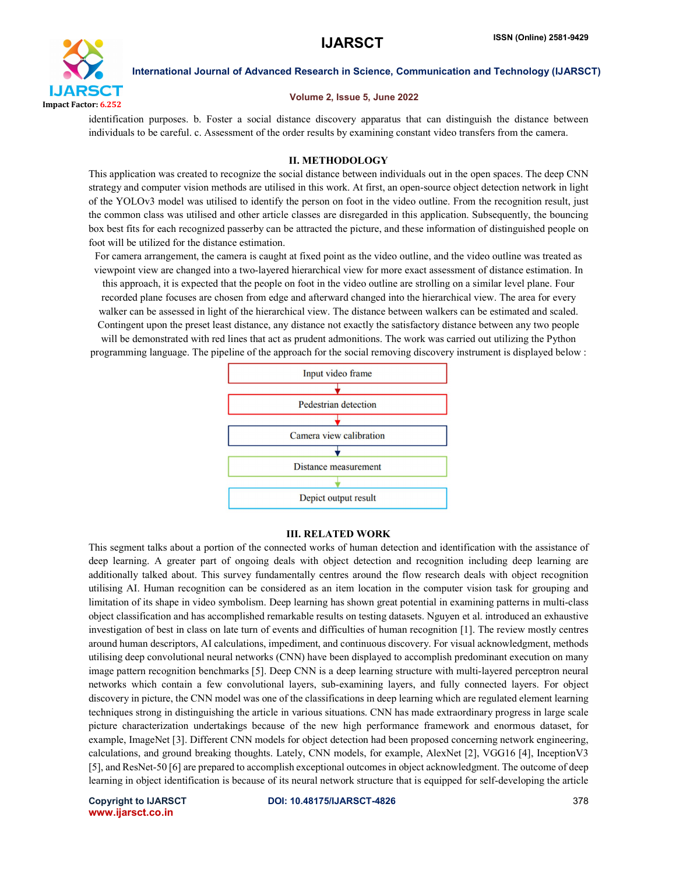

# Volume 2, Issue 5, June 2022

identification purposes. b. Foster a social distance discovery apparatus that can distinguish the distance between individuals to be careful. c. Assessment of the order results by examining constant video transfers from the camera.

# II. METHODOLOGY

This application was created to recognize the social distance between individuals out in the open spaces. The deep CNN strategy and computer vision methods are utilised in this work. At first, an open-source object detection network in light of the YOLOv3 model was utilised to identify the person on foot in the video outline. From the recognition result, just the common class was utilised and other article classes are disregarded in this application. Subsequently, the bouncing box best fits for each recognized passerby can be attracted the picture, and these information of distinguished people on foot will be utilized for the distance estimation.

For camera arrangement, the camera is caught at fixed point as the video outline, and the video outline was treated as viewpoint view are changed into a two-layered hierarchical view for more exact assessment of distance estimation. In this approach, it is expected that the people on foot in the video outline are strolling on a similar level plane. Four recorded plane focuses are chosen from edge and afterward changed into the hierarchical view. The area for every walker can be assessed in light of the hierarchical view. The distance between walkers can be estimated and scaled. Contingent upon the preset least distance, any distance not exactly the satisfactory distance between any two people will be demonstrated with red lines that act as prudent admonitions. The work was carried out utilizing the Python

programming language. The pipeline of the approach for the social removing discovery instrument is displayed below :



### III. RELATED WORK

This segment talks about a portion of the connected works of human detection and identification with the assistance of deep learning. A greater part of ongoing deals with object detection and recognition including deep learning are additionally talked about. This survey fundamentally centres around the flow research deals with object recognition utilising AI. Human recognition can be considered as an item location in the computer vision task for grouping and limitation of its shape in video symbolism. Deep learning has shown great potential in examining patterns in multi-class object classification and has accomplished remarkable results on testing datasets. Nguyen et al. introduced an exhaustive investigation of best in class on late turn of events and difficulties of human recognition [1]. The review mostly centres around human descriptors, AI calculations, impediment, and continuous discovery. For visual acknowledgment, methods utilising deep convolutional neural networks (CNN) have been displayed to accomplish predominant execution on many image pattern recognition benchmarks [5]. Deep CNN is a deep learning structure with multi-layered perceptron neural networks which contain a few convolutional layers, sub-examining layers, and fully connected layers. For object discovery in picture, the CNN model was one of the classifications in deep learning which are regulated element learning techniques strong in distinguishing the article in various situations. CNN has made extraordinary progress in large scale picture characterization undertakings because of the new high performance framework and enormous dataset, for example, ImageNet [3]. Different CNN models for object detection had been proposed concerning network engineering, calculations, and ground breaking thoughts. Lately, CNN models, for example, AlexNet [2], VGG16 [4], InceptionV3 [5], and ResNet-50 [6] are prepared to accomplish exceptional outcomes in object acknowledgment. The outcome of deep learning in object identification is because of its neural network structure that is equipped for self-developing the article

www.ijarsct.co.in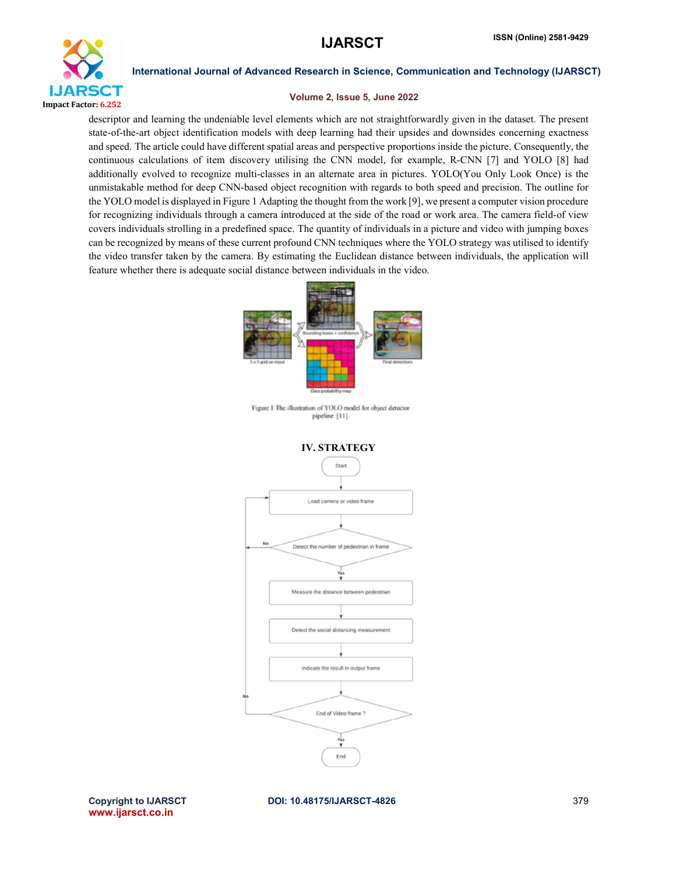

# Volume 2, Issue 5, June 2022

descriptor and learning the undeniable level elements which are not straightforwardly given in the dataset. The present state-of-the-art object identification models with deep learning had their upsides and downsides concerning exactness and speed. The article could have different spatial areas and perspective proportions inside the picture. Consequently, the continuous calculations of item discovery utilising the CNN model, for example, R-CNN [7] and YOLO [8] had additionally evolved to recognize multi-classes in an alternate area in pictures. YOLO(You Only Look Once) is the unmistakable method for deep CNN-based object recognition with regards to both speed and precision. The outline for the YOLO model is displayed in Figure 1 Adapting the thought from the work [9], we present a computer vision procedure for recognizing individuals through a camera introduced at the side of the road or work area. The camera field-of view covers individuals strolling in a predefined space. The quantity of individuals in a picture and video with jumping boxes can be recognized by means of these current profound CNN techniques where the YOLO strategy was utilised to identify the video transfer taken by the camera. By estimating the Euclidean distance between individuals, the application will feature whether there is adequate social distance between individuals in the video.



www.ijarsct.co.in

Copyright to IJARSCT DOI: 10.48175/IJARSCT-4826 379